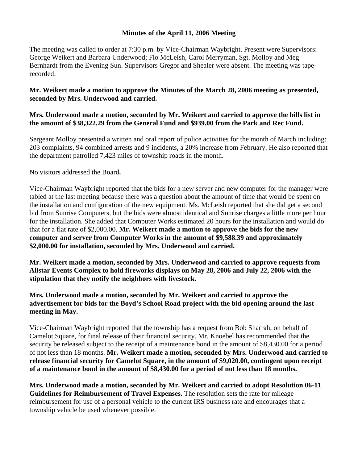#### **Minutes of the April 11, 2006 Meeting**

The meeting was called to order at 7:30 p.m. by Vice-Chairman Waybright. Present were Supervisors: George Weikert and Barbara Underwood; Flo McLeish, Carol Merryman, Sgt. Molloy and Meg Bernhardt from the Evening Sun. Supervisors Gregor and Shealer were absent. The meeting was taperecorded.

### **Mr. Weikert made a motion to approve the Minutes of the March 28, 2006 meeting as presented, seconded by Mrs. Underwood and carried.**

### **Mrs. Underwood made a motion, seconded by Mr. Weikert and carried to approve the bills list in the amount of \$38,322.29 from the General Fund and \$939.00 from the Park and Rec Fund.**

Sergeant Molloy presented a written and oral report of police activities for the month of March including: 203 complaints, 94 combined arrests and 9 incidents, a 20% increase from February. He also reported that the department patrolled 7,423 miles of township roads in the month.

No visitors addressed the Board**.** 

Vice-Chairman Waybright reported that the bids for a new server and new computer for the manager were tabled at the last meeting because there was a question about the amount of time that would be spent on the installation and configuration of the new equipment. Ms. McLeish reported that she did get a second bid from Sunrise Computers, but the bids were almost identical and Sunrise charges a little more per hour for the installation. She added that Computer Works estimated 20 hours for the installation and would do that for a flat rate of \$2,000.00. **Mr. Weikert made a motion to approve the bids for the new computer and server from Computer Works in the amount of \$9,588.39 and approximately \$2,000.00 for installation, seconded by Mrs. Underwood and carried.** 

**Mr. Weikert made a motion, seconded by Mrs. Underwood and carried to approve requests from Allstar Events Complex to hold fireworks displays on May 28, 2006 and July 22, 2006 with the stipulation that they notify the neighbors with livestock.** 

## **Mrs. Underwood made a motion, seconded by Mr. Weikert and carried to approve the advertisement for bids for the Boyd's School Road project with the bid opening around the last meeting in May.**

Vice-Chairman Waybright reported that the township has a request from Bob Sharrah, on behalf of Camelot Square, for final release of their financial security. Mr. Knoebel has recommended that the security be released subject to the receipt of a maintenance bond in the amount of \$8,430.00 for a period of not less than 18 months. **Mr. Weikert made a motion, seconded by Mrs. Underwood and carried to release financial security for Camelot Square, in the amount of \$9,020.00, contingent upon receipt of a maintenance bond in the amount of \$8,430.00 for a period of not less than 18 months.** 

**Mrs. Underwood made a motion, seconded by Mr. Weikert and carried to adopt Resolution 06-11 Guidelines for Reimbursement of Travel Expenses.** The resolution sets the rate for mileage reimbursement for use of a personal vehicle to the current IRS business rate and encourages that a township vehicle be used whenever possible.